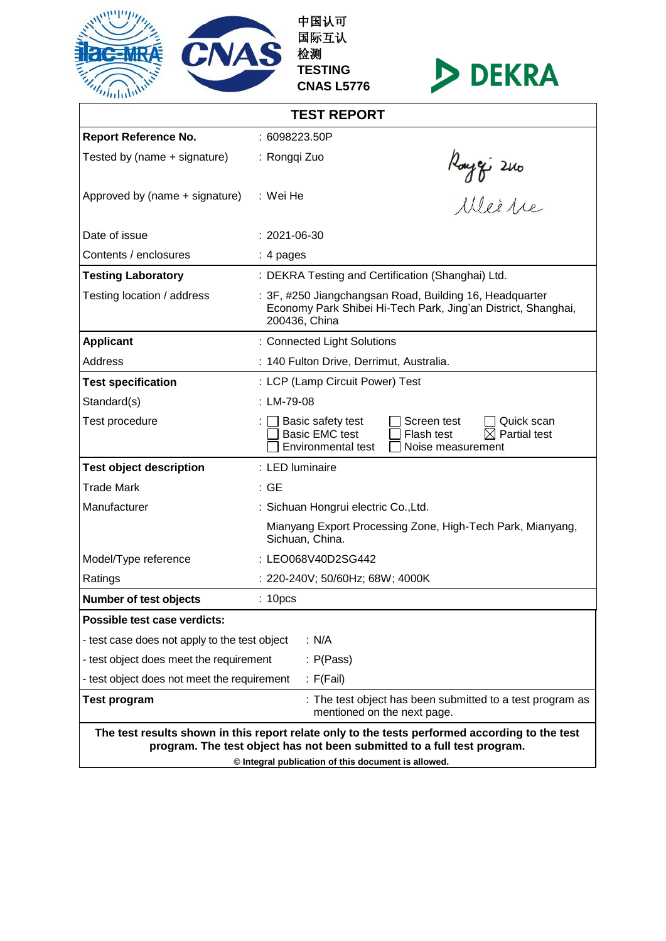

中国认可 国际互认 检测 **TESTING CNAS L5776**



| <b>TEST REPORT</b>                                                                                                                                                                                                               |                                                                                                                                                                     |  |  |  |  |
|----------------------------------------------------------------------------------------------------------------------------------------------------------------------------------------------------------------------------------|---------------------------------------------------------------------------------------------------------------------------------------------------------------------|--|--|--|--|
| <b>Report Reference No.</b>                                                                                                                                                                                                      | : 6098223.50P                                                                                                                                                       |  |  |  |  |
| Tested by (name + signature)                                                                                                                                                                                                     | : Rongqi Zuo                                                                                                                                                        |  |  |  |  |
| Approved by (name + signature)                                                                                                                                                                                                   | Rouze i 2010<br>Allei Are<br>: Wei He                                                                                                                               |  |  |  |  |
| Date of issue                                                                                                                                                                                                                    | $: 2021 - 06 - 30$                                                                                                                                                  |  |  |  |  |
| Contents / enclosures                                                                                                                                                                                                            | $: 4$ pages                                                                                                                                                         |  |  |  |  |
| <b>Testing Laboratory</b>                                                                                                                                                                                                        | : DEKRA Testing and Certification (Shanghai) Ltd.                                                                                                                   |  |  |  |  |
| Testing location / address                                                                                                                                                                                                       | : 3F, #250 Jiangchangsan Road, Building 16, Headquarter<br>Economy Park Shibei Hi-Tech Park, Jing'an District, Shanghai,<br>200436, China                           |  |  |  |  |
| <b>Applicant</b>                                                                                                                                                                                                                 | : Connected Light Solutions                                                                                                                                         |  |  |  |  |
| Address                                                                                                                                                                                                                          | : 140 Fulton Drive, Derrimut, Australia.                                                                                                                            |  |  |  |  |
| <b>Test specification</b>                                                                                                                                                                                                        | : LCP (Lamp Circuit Power) Test                                                                                                                                     |  |  |  |  |
| Standard(s)                                                                                                                                                                                                                      | : LM-79-08                                                                                                                                                          |  |  |  |  |
| Test procedure                                                                                                                                                                                                                   | Basic safety test<br>Screen test<br>Quick scan<br>$\boxtimes$ Partial test<br><b>Basic EMC test</b><br>Flash test<br><b>Environmental test</b><br>Noise measurement |  |  |  |  |
| <b>Test object description</b>                                                                                                                                                                                                   | : LED luminaire                                                                                                                                                     |  |  |  |  |
| <b>Trade Mark</b>                                                                                                                                                                                                                | : GE                                                                                                                                                                |  |  |  |  |
| Manufacturer                                                                                                                                                                                                                     | : Sichuan Hongrui electric Co., Ltd.                                                                                                                                |  |  |  |  |
|                                                                                                                                                                                                                                  | Mianyang Export Processing Zone, High-Tech Park, Mianyang,<br>Sichuan, China.                                                                                       |  |  |  |  |
| Model/Type reference                                                                                                                                                                                                             | : LEO068V40D2SG442                                                                                                                                                  |  |  |  |  |
| Ratings                                                                                                                                                                                                                          | : 220-240V; 50/60Hz; 68W; 4000K                                                                                                                                     |  |  |  |  |
| Number of test objects                                                                                                                                                                                                           | : 10 <sub>pcs</sub>                                                                                                                                                 |  |  |  |  |
| Possible test case verdicts:                                                                                                                                                                                                     |                                                                                                                                                                     |  |  |  |  |
| : N/A<br>- test case does not apply to the test object                                                                                                                                                                           |                                                                                                                                                                     |  |  |  |  |
| - test object does meet the requirement                                                                                                                                                                                          | : P(Pass)                                                                                                                                                           |  |  |  |  |
| - test object does not meet the requirement<br>: $F(Fail)$                                                                                                                                                                       |                                                                                                                                                                     |  |  |  |  |
| <b>Test program</b>                                                                                                                                                                                                              | : The test object has been submitted to a test program as<br>mentioned on the next page.                                                                            |  |  |  |  |
| The test results shown in this report relate only to the tests performed according to the test<br>program. The test object has not been submitted to a full test program.<br>© Integral publication of this document is allowed. |                                                                                                                                                                     |  |  |  |  |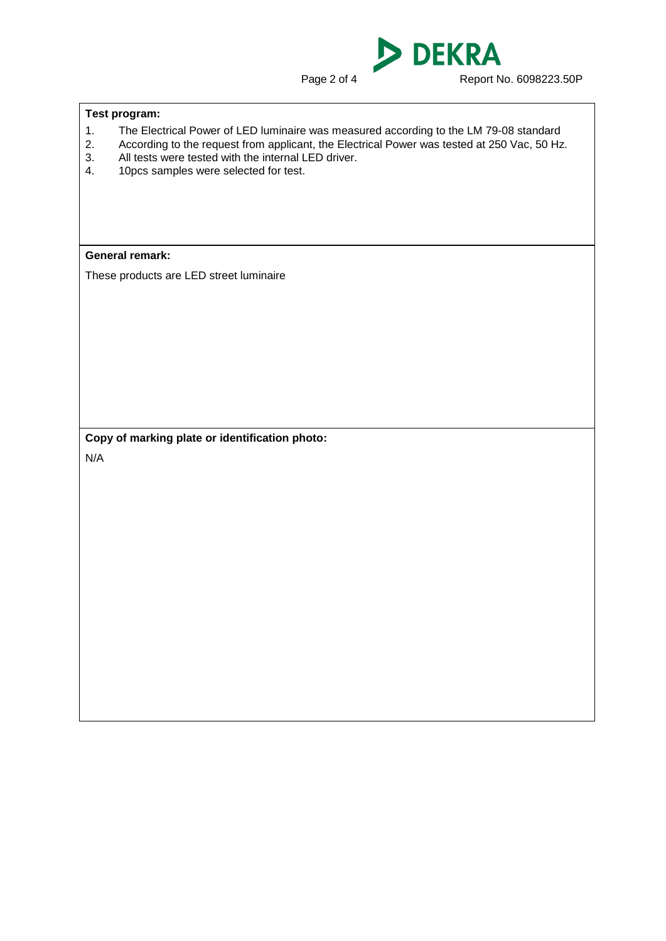**DEKRA** D

Page 2 of 4 Report No. 6098223.50P

## **Test program:**

- 1. The Electrical Power of LED luminaire was measured according to the LM 79-08 standard<br>2. According to the request from applicant, the Electrical Power was tested at 250 Vac, 50 Hz
- 2. According to the request from applicant, the Electrical Power was tested at 250 Vac, 50 Hz.<br>3. All tests were tested with the internal LED driver.
- 3. All tests were tested with the internal LED driver.<br>4. 10pcs samples were selected for test.
- 10pcs samples were selected for test.

## **General remark:**

These products are LED street luminaire

**Copy of marking plate or identification photo:**

N/A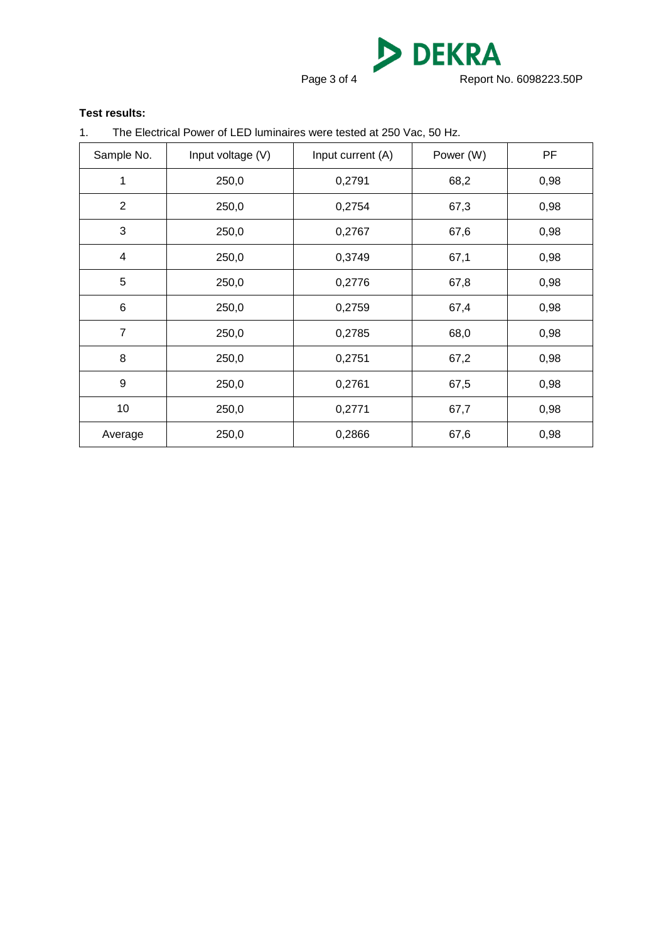DEKRA Page 3 of 4 Report No. 6098223.50P

## **Test results:**

1. The Electrical Power of LED luminaires were tested at 250 Vac, 50 Hz.

| Sample No.     | Input voltage (V) | Input current (A) | Power (W) | PF   |
|----------------|-------------------|-------------------|-----------|------|
| 1              | 250,0             | 0,2791            | 68,2      | 0,98 |
| $\overline{2}$ | 250,0             | 0,2754            | 67,3      | 0,98 |
| 3              | 250,0             | 0,2767            | 67,6      | 0,98 |
| $\overline{4}$ | 250,0             | 0,3749            | 67,1      | 0,98 |
| 5              | 250,0             | 0,2776            | 67,8      | 0,98 |
| 6              | 250,0             | 0,2759            | 67,4      | 0,98 |
| $\overline{7}$ | 250,0             | 0,2785            | 68,0      | 0,98 |
| 8              | 250,0             | 0,2751            | 67,2      | 0,98 |
| 9              | 250,0             | 0,2761            | 67,5      | 0,98 |
| 10             | 250,0             | 0,2771            | 67,7      | 0,98 |
| Average        | 250,0             | 0,2866            | 67,6      | 0,98 |